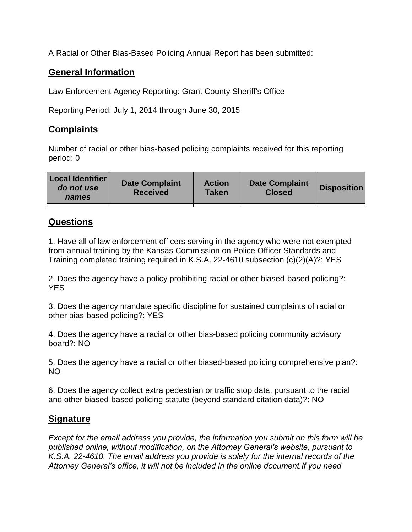A Racial or Other Bias-Based Policing Annual Report has been submitted:

## **General Information**

Law Enforcement Agency Reporting: Grant County Sheriff's Office

Reporting Period: July 1, 2014 through June 30, 2015

## **Complaints**

Number of racial or other bias-based policing complaints received for this reporting period: 0

| <b>Local Identifier</b><br>do not use<br>names | <b>Date Complaint</b><br><b>Received</b> | <b>Action</b><br><b>Taken</b> | <b>Date Complaint</b><br><b>Closed</b> | Disposition |
|------------------------------------------------|------------------------------------------|-------------------------------|----------------------------------------|-------------|
|                                                |                                          |                               |                                        |             |

## **Questions**

1. Have all of law enforcement officers serving in the agency who were not exempted from annual training by the Kansas Commission on Police Officer Standards and Training completed training required in K.S.A. 22-4610 subsection (c)(2)(A)?: YES

2. Does the agency have a policy prohibiting racial or other biased-based policing?: YES

3. Does the agency mandate specific discipline for sustained complaints of racial or other bias-based policing?: YES

4. Does the agency have a racial or other bias-based policing community advisory board?: NO

5. Does the agency have a racial or other biased-based policing comprehensive plan?: NO

6. Does the agency collect extra pedestrian or traffic stop data, pursuant to the racial and other biased-based policing statute (beyond standard citation data)?: NO

## **Signature**

*Except for the email address you provide, the information you submit on this form will be published online, without modification, on the Attorney General's website, pursuant to K.S.A. 22-4610. The email address you provide is solely for the internal records of the Attorney General's office, it will not be included in the online document.If you need*